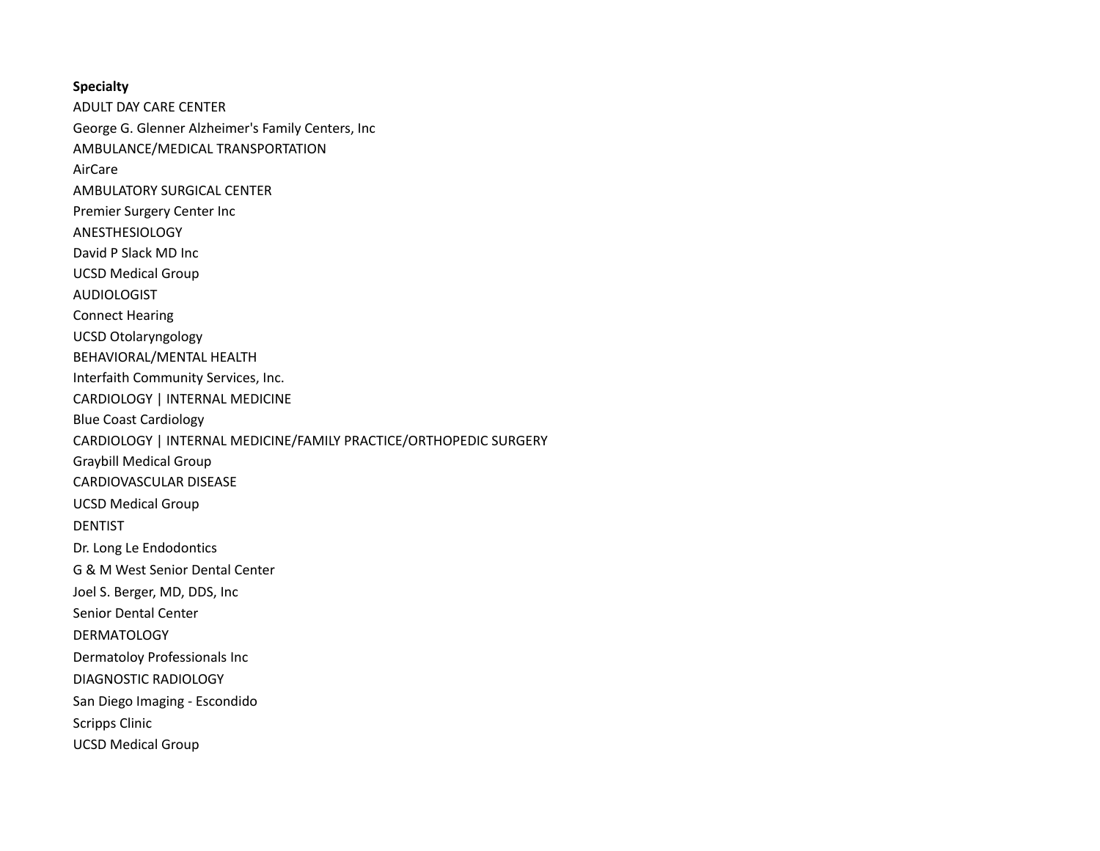## **Specialty**

ADULT DAY CARE CENTER George G. Glenner Alzheimer's Family Centers, Inc AMBULANCE/MEDICAL TRANSPORTATION AirCare AMBULATORY SURGICAL CENTER Premier Surgery Center Inc ANESTHESIOLOGY David P Slack MD Inc UCSD Medical Group AUDIOLOGIST Connect Hearing UCSD Otolaryngology BEHAVIORAL/MENTAL HEALTH Interfaith Community Services, Inc. CARDIOLOGY | INTERNAL MEDICINE Blue Coast Cardiology CARDIOLOGY | INTERNAL MEDICINE/FAMILY PRACTICE/ORTHOPEDIC SURGERY Graybill Medical Group CARDIOVASCULAR DISEASE UCSD Medical Group DENTIST Dr. Long Le Endodontics G & M West Senior Dental Center Joel S. Berger, MD, DDS, Inc Senior Dental Center DERMATOLOGY Dermatoloy Professionals Inc DIAGNOSTIC RADIOLOGY San Diego Imaging - Escondido Scripps Clinic UCSD Medical Group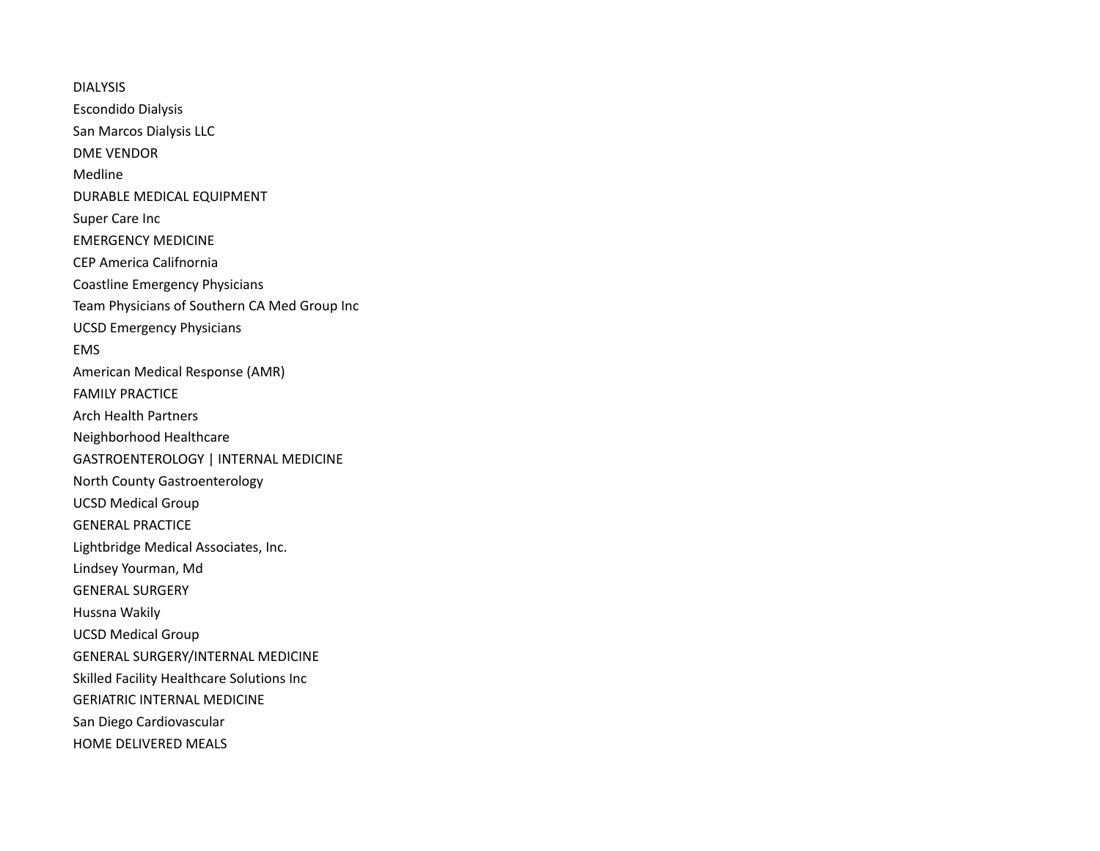DIALYSIS Escondido Dialysis San Marcos Dialysis LLC DME VENDOR Medline DURABLE MEDICAL EQUIPMENT Super Care Inc EMERGENCY MEDICINE CEP America Califnornia Coastline Emergency Physicians Team Physicians of Southern CA Med Group Inc UCSD Emergency Physicians EMS American Medical Response (AMR) FAMILY PRACTICE Arch Health Partners Neighborhood Healthcare GASTROENTEROLOGY | INTERNAL MEDICINE North County Gastroenterology UCSD Medical Group GENERAL PRACTICE Lightbridge Medical Associates, Inc. Lindsey Yourman, Md GENERAL SURGERY Hussna Wakily UCSD Medical Group GENERAL SURGERY/INTERNAL MEDICINE Skilled Facility Healthcare Solutions Inc GERIATRIC INTERNAL MEDICINE San Diego Cardiovascular HOME DELIVERED MEALS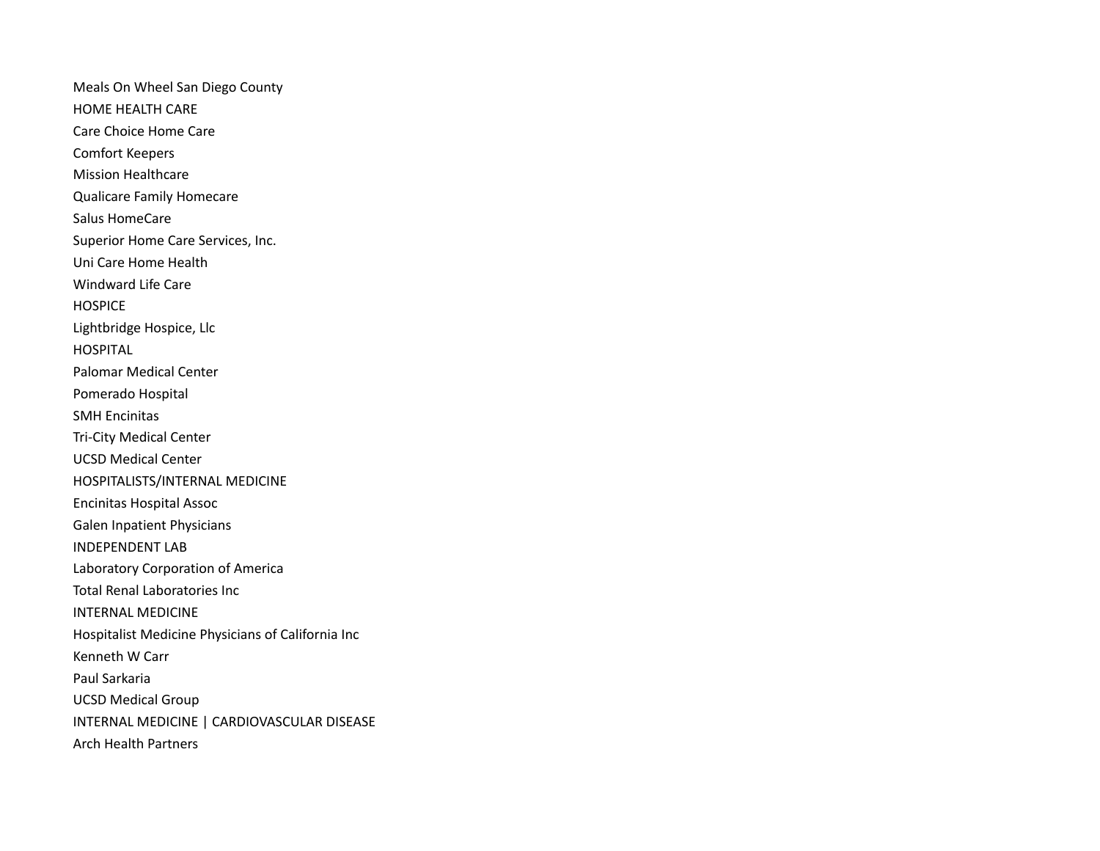Meals On Wheel San Diego County HOME HEALTH CARE Care Choice Home Care Comfort Keepers Mission Healthcare Qualicare Family Homecare Salus HomeCare Superior Home Care Services, Inc. Uni Care Home Health Windward Life Care **HOSPICE** Lightbridge Hospice, Llc **HOSPITAL** Palomar Medical Center Pomerado Hospital SMH Encinitas Tri-City Medical Center UCSD Medical Center HOSPITALISTS/INTERNAL MEDICINE Encinitas Hospital Assoc Galen Inpatient Physicians INDEPENDENT LAB Laboratory Corporation of America Total Renal Laboratories Inc INTERNAL MEDICINE Hospitalist Medicine Physicians of California Inc Kenneth W Carr Paul Sarkaria UCSD Medical Group INTERNAL MEDICINE | CARDIOVASCULAR DISEASE Arch Health Partners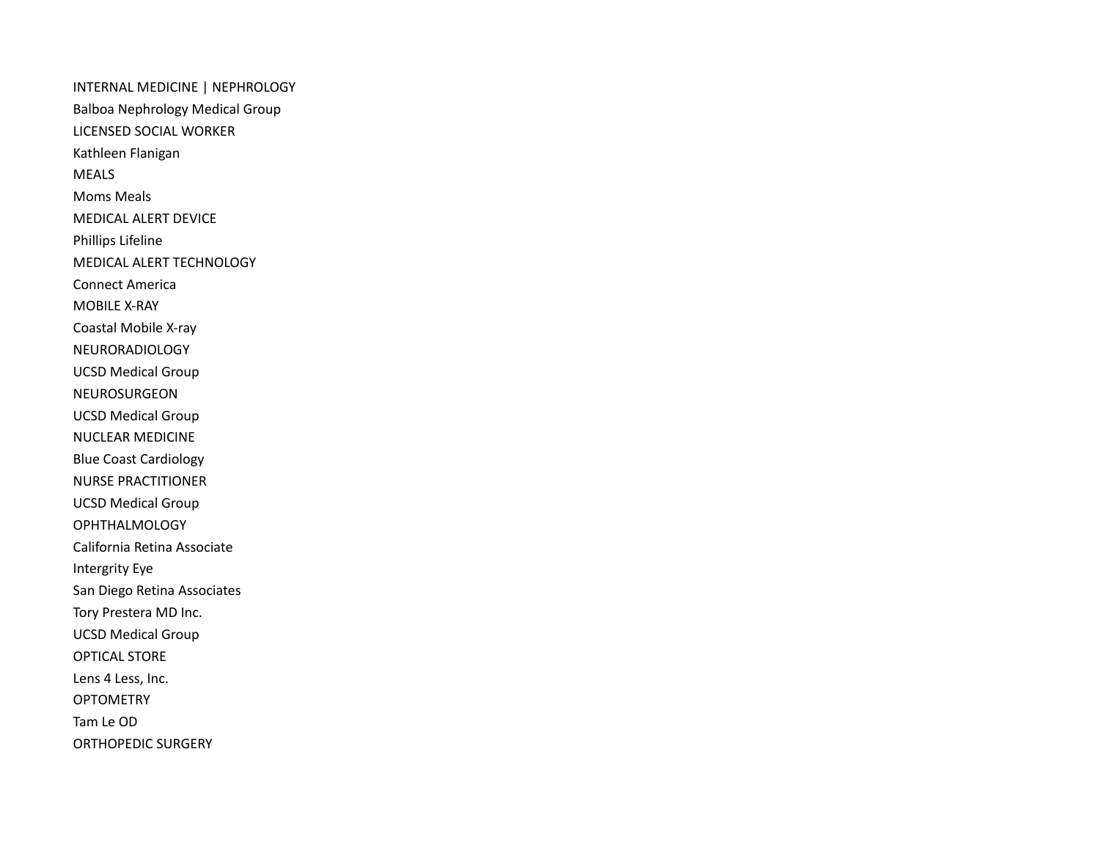INTERNAL MEDICINE | NEPHROLOGY Balboa Nephrology Medical Group LICENSED SOCIAL WORKER Kathleen Flanigan MEALS Moms Meals MEDICAL ALERT DEVICE Phillips Lifeline MEDICAL ALERT TECHNOLOGY Connect America MOBILE X-RAY Coastal Mobile X-ray NEURORADIOLOGY UCSD Medical Group NEUROSURGEON UCSD Medical Group NUCLEAR MEDICINE Blue Coast Cardiology NURSE PRACTITIONER UCSD Medical Group OPHTHALMOLOGY California Retina Associate Intergrity Eye San Diego Retina Associates Tory Prestera MD Inc. UCSD Medical Group OPTICAL STORE Lens 4 Less, Inc. OPTOMETRY Tam Le OD ORTHOPEDIC SURGERY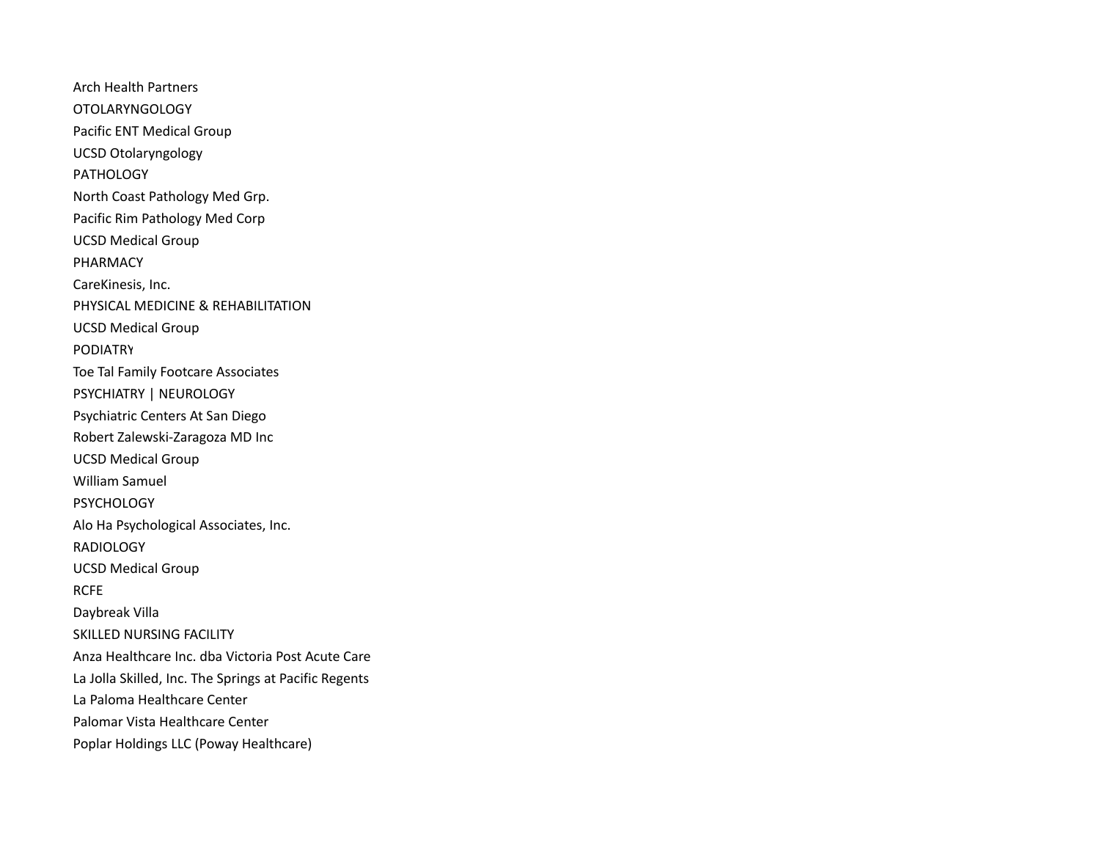Arch Health Partners OTOLARYNGOLOGY Pacific ENT Medical Group UCSD Otolaryngology PATHOLOGY North Coast Pathology Med Grp. Pacific Rim Pathology Med Corp UCSD Medical Group PHARMACY CareKinesis, Inc. PHYSICAL MEDICINE & REHABILITATION UCSD Medical Group PODIATRY Toe Tal Family Footcare Associates PSYCHIATRY | NEUROLOGY Psychiatric Centers At San Diego Robert Zalewski-Zaragoza MD Inc UCSD Medical Group William Samuel **PSYCHOLOGY** Alo Ha Psychological Associates, Inc. RADIOLOGY UCSD Medical Group RCFE Daybreak Villa SKILLED NURSING FACILITY Anza Healthcare Inc. dba Victoria Post Acute Care La Jolla Skilled, Inc. The Springs at Pacific Regents La Paloma Healthcare Center Palomar Vista Healthcare Center Poplar Holdings LLC (Poway Healthcare)